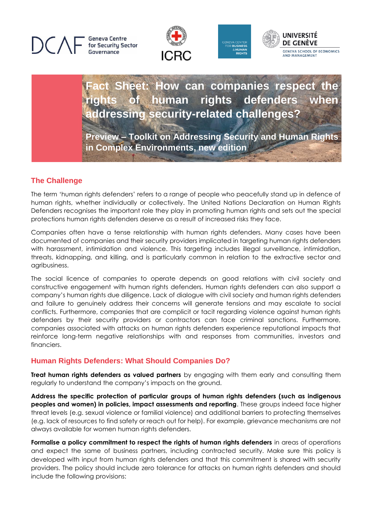**Geneva Centre** for Security Sector Governance







# **Fact Sheet: How can companies respect the**  of human rights defenders **addressing security-related challenges?**

**Preview – Toolkit on Addressing Security and Human Rights in Complex Environments, new edition**

## **The Challenge**

The term 'human rights defenders' refers to a range of people who peacefully stand up in defence of human rights, whether individually or collectively. The United Nations Declaration on Human Rights Defenders recognises the important role they play in promoting human rights and sets out the special protections human rights defenders deserve as a result of increased risks they face.

Companies often have a tense relationship with human rights defenders. Many cases have been documented of companies and their security providers implicated in targeting human rights defenders with harassment, intimidation and violence. This targeting includes illegal surveillance, intimidation, threats, kidnapping, and killing, and is particularly common in relation to the extractive sector and agribusiness.

The social licence of companies to operate depends on good relations with civil society and constructive engagement with human rights defenders. Human rights defenders can also support a company's human rights due diligence. Lack of dialogue with civil society and human rights defenders and failure to genuinely address their concerns will generate tensions and may escalate to social conflicts. Furthermore, companies that are complicit or tacit regarding violence against human rights defenders by their security providers or contractors can face criminal sanctions. Furthermore, companies associated with attacks on human rights defenders experience reputational impacts that reinforce long-term negative relationships with and responses from communities, investors and financiers.

### **Human Rights Defenders: What Should Companies Do?**

**Treat human rights defenders as valued partners** by engaging with them early and consulting them regularly to understand the company's impacts on the ground.

**Address the specific protection of particular groups of human rights defenders (such as indigenous peoples and women) in policies, impact assessments and reporting**. These groups indeed face higher threat levels (e.g. sexual violence or familial violence) and additional barriers to protecting themselves (e.g. lack of resources to find safety or reach out for help). For example, grievance mechanisms are not always available for women human rights defenders.

**Formalise a policy commitment to respect the rights of human rights defenders** in areas of operations and expect the same of business partners, including contracted security. Make sure this policy is developed with input from human rights defenders and that this commitment is shared with security providers. The policy should include zero tolerance for attacks on human rights defenders and should include the following provisions: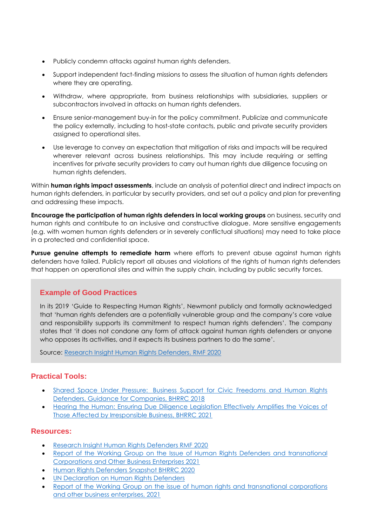- Publicly condemn attacks against human rights defenders.
- Support independent fact-finding missions to assess the situation of human rights defenders where they are operating.
- Withdraw, where appropriate, from business relationships with subsidiaries, suppliers or subcontractors involved in attacks on human rights defenders.
- Ensure senior-management buy-in for the policy commitment. Publicize and communicate the policy externally, including to host-state contacts, public and private security providers assigned to operational sites.
- Use leverage to convey an expectation that mitigation of risks and impacts will be required wherever relevant across business relationships. This may include requiring or setting incentives for private security providers to carry out human rights due diligence focusing on human rights defenders.

Within **human rights impact assessments**, include an analysis of potential direct and indirect impacts on human rights defenders, in particular by security providers, and set out a policy and plan for preventing and addressing these impacts.

**Encourage the participation of human rights defenders in local working groups** on business, security and human rights and contribute to an inclusive and constructive dialogue. More sensitive engagements (e.g. with women human rights defenders or in severely conflictual situations) may need to take place in a protected and confidential space.

**Pursue genuine attempts to remediate harm** where efforts to prevent abuse against human rights defenders have failed. Publicly report all abuses and violations of the rights of human rights defenders that happen on operational sites and within the supply chain, including by public security forces.

### **Example of Good Practices**

In its 2019 'Guide to Respecting Human Rights', Newmont publicly and formally acknowledged that 'human rights defenders are a potentially vulnerable group and the company's core value and responsibility supports its commitment to respect human rights defenders'. The company states that 'it does not condone any form of attack against human rights defenders or anyone who opposes its activities, and it expects its business partners to do the same'.

Source: [Research Insight Human](https://www.responsibleminingfoundation.org/app/uploads/EN_Research-Insight_Human-Rights-Defenders_July2020.pdf) Rights Defenders, RMF 2020

### **Practical Tools:**

- Shared Space Under Pressure: [Business Support for Civic Freedoms and Human Rights](https://ishr.ch/wp-content/uploads/2021/07/shared_space_under_pressure_-_business_support_for_civic_freedoms_and_human_rights_defenders_1.pdf)  [Defenders, Guidance for Companies, BHRRC 2018](https://ishr.ch/wp-content/uploads/2021/07/shared_space_under_pressure_-_business_support_for_civic_freedoms_and_human_rights_defenders_1.pdf)
- [Hearing the Human: Ensuring Due Diligence Legislation Effectively Amplifies the Voices of](https://media.business-humanrights.org/media/documents/2021_Hearing_the_Human_Briefing_v6.pdf)  [Those Affected by Irresponsible Business, BHRRC 2021](https://media.business-humanrights.org/media/documents/2021_Hearing_the_Human_Briefing_v6.pdf)

#### **Resources:**

- [Research Insight Human Rights Defenders RMF 2020](https://www.responsibleminingfoundation.org/app/uploads/EN_Research-Insight_Human-Rights-Defenders_July2020.pdf)
- Report of the Working Group [on the Issue of Human Rights Defenders and transnational](https://undocs.org/A/HRC/47/39/Add.2)  [Corporations and Other Business Enterprises 2021](https://undocs.org/A/HRC/47/39/Add.2)
- [Human Rights Defenders Snapshot BHRRC 2020](https://media.business-humanrights.org/media/documents/HRD_2020_Snapshot_EN_v9.pdf)
- [UN Declaration on Human Rights Defenders](https://www.ohchr.org/EN/Issues/CivicSpace/Pages/DeclarationHumanRightsDefenders.aspx)
- Report of the Working Group on the issue of human rights and transnational corporations [and other business enterprises, 2021](https://undocs.org/A/HRC/47/39/Add.2)